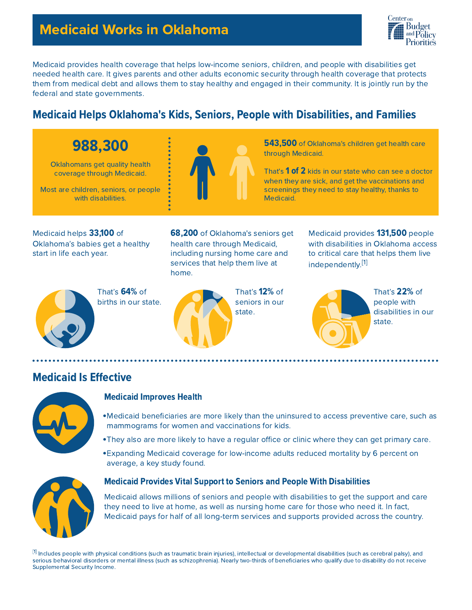## Medicaid Works in Oklahoma



Medicaid provides health coverage that helps low-income seniors, children, and people with disabilities get needed health care. It gives parents and other adults economic security through health coverage that protects them from medical debt and allows them to stay healthy and engaged in their community. It is jointly run by the federal and state governments.

## **Medicaid Helps Oklahoma's Kids, Seniors, People with Disabilities, and Families**

# 988,300

Oklahomans get quality health coverage through Medicaid.

Most are children, seniors, or people with disabilities.



543,500 of Oklahoma's children get health care through Medicaid.

That's 1 of 2 kids in our state who can see a doctor when they are sick, and get the vaccinations and screenings they need to stay healthy, thanks to Medicaid.

Medicaid helps 33,100 of Oklahoma's babies get a healthy start in life each year.

68,200 of Oklahoma's seniors get health care through Medicaid, including nursing home care and services that help them live at home.

That's 64% of births in our state.



That's 12% of seniors in our state.

Medicaid provides 131,500 people with disabilities in Oklahoma access to critical care that helps them live independently.<sup>[1]</sup>



That's 22% of people with disabilities in our state.

### **Medicaid Is Effective**



#### Medicaid Improves Health

- Medicaid beneficiaries are more likely than the uninsured to access preventive care, such as mammograms for women and vaccinations for kids.
- They also are more likely to have a regular office or clinic where they can get primary care.
- Expanding Medicaid coverage for low-income adults reduced mortality by 6 percent on average, a key study found.



#### **Medicaid Provides Vital Support to Seniors and People With Disabilities**

Medicaid allows millions of seniors and people with disabilities to get the support and care they need to live at home, as well as nursing home care for those who need it. In fact, Medicaid pays for half of all long-term services and supports provided across the country.

 $^{\lbrack 1]}$  Includes people with physical conditions (such as traumatic brain injuries), intellectual or developmental disabilities (such as cerebral palsy), and serious behavioral disorders or mental illness (such as schizophrenia). Nearly two-thirds of beneficiaries who qualify due to disability do not receive Supplemental Security Income.